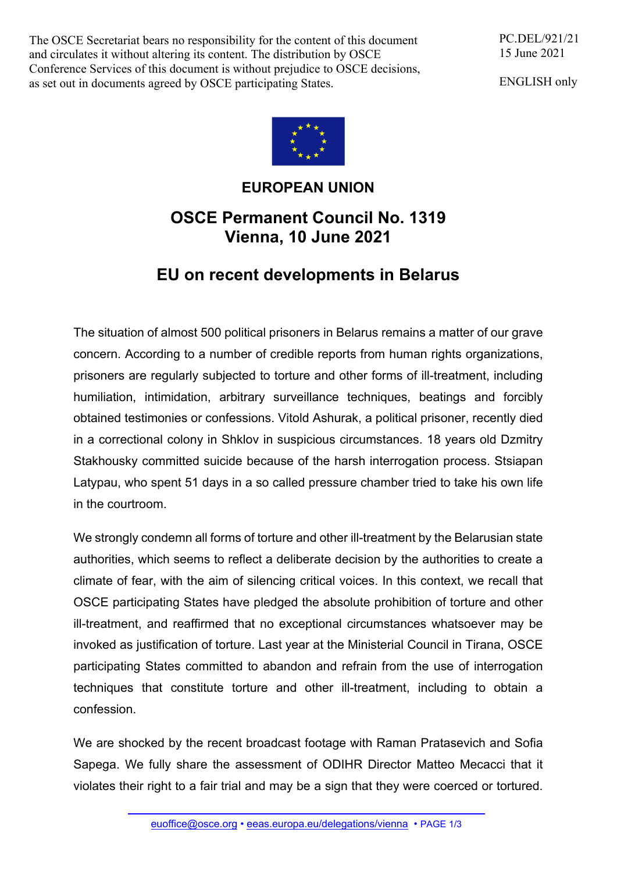The OSCE Secretariat bears no responsibility for the content of this document and circulates it without altering its content. The distribution by OSCE Conference Services of this document is without prejudice to OSCE decisions, as set out in documents agreed by OSCE participating States.

PC.DEL/921/21 15 June 2021

ENGLISH only



## **EUROPEAN UNION**

## **OSCE Permanent Council No. 1319 Vienna, 10 June 2021**

## **EU on recent developments in Belarus**

The situation of almost 500 political prisoners in Belarus remains a matter of our grave concern. According to a number of credible reports from human rights organizations, prisoners are regularly subjected to torture and other forms of ill-treatment, including humiliation, intimidation, arbitrary surveillance techniques, beatings and forcibly obtained testimonies or confessions. Vitold Ashurak, a political prisoner, recently died in a correctional colony in Shklov in suspicious circumstances. 18 years old Dzmitry Stakhousky committed suicide because of the harsh interrogation process. Stsiapan Latypau, who spent 51 days in a so called pressure chamber tried to take his own life in the courtroom.

We strongly condemn all forms of torture and other ill-treatment by the Belarusian state authorities, which seems to reflect a deliberate decision by the authorities to create a climate of fear, with the aim of silencing critical voices. In this context, we recall that OSCE participating States have pledged the absolute prohibition of torture and other ill-treatment, and reaffirmed that no exceptional circumstances whatsoever may be invoked as justification of torture. Last year at the Ministerial Council in Tirana, OSCE participating States committed to abandon and refrain from the use of interrogation techniques that constitute torture and other ill-treatment, including to obtain a confession.

We are shocked by the recent broadcast footage with Raman Pratasevich and Sofia Sapega. We fully share the assessment of ODIHR Director Matteo Mecacci that it violates their right to a fair trial and may be a sign that they were coerced or tortured.

euoffice@osce.org • eeas.europa.eu/delegations/vienna • PAGE 1/3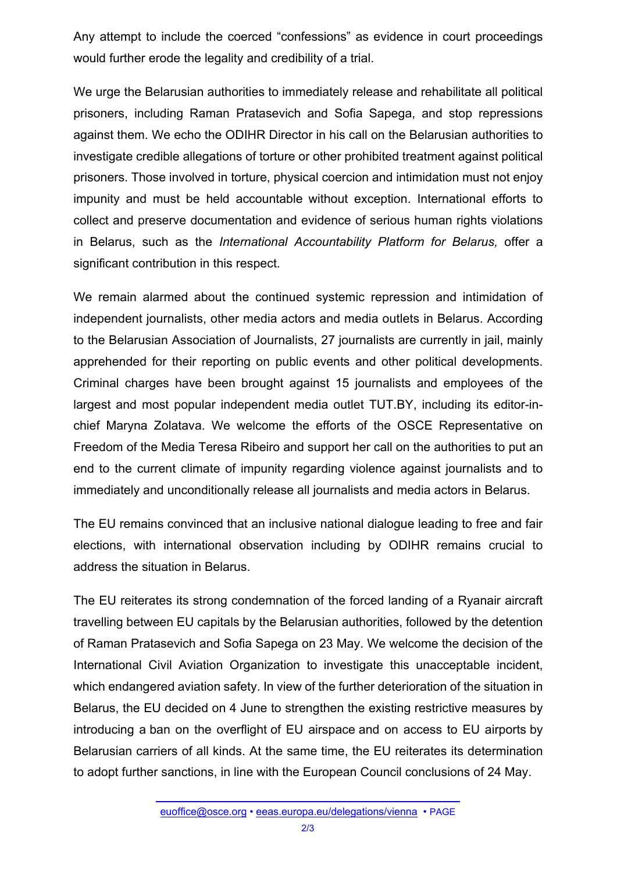Any attempt to include the coerced "confessions" as evidence in court proceedings would further erode the legality and credibility of a trial.

We urge the Belarusian authorities to immediately release and rehabilitate all political prisoners, including Raman Pratasevich and Sofia Sapega, and stop repressions against them. We echo the ODIHR Director in his call on the Belarusian authorities to investigate credible allegations of torture or other prohibited treatment against political prisoners. Those involved in torture, physical coercion and intimidation must not enjoy impunity and must be held accountable without exception. International efforts to collect and preserve documentation and evidence of serious human rights violations in Belarus, such as the *International Accountability Platform for Belarus,* offer a significant contribution in this respect.

We remain alarmed about the continued systemic repression and intimidation of independent journalists, other media actors and media outlets in Belarus. According to the Belarusian Association of Journalists, 27 journalists are currently in jail, mainly apprehended for their reporting on public events and other political developments. Criminal charges have been brought against 15 journalists and employees of the largest and most popular independent media outlet TUT.BY, including its editor-inchief Maryna Zolatava. We welcome the efforts of the OSCE Representative on Freedom of the Media Teresa Ribeiro and support her call on the authorities to put an end to the current climate of impunity regarding violence against journalists and to immediately and unconditionally release all journalists and media actors in Belarus.

The EU remains convinced that an inclusive national dialogue leading to free and fair elections, with international observation including by ODIHR remains crucial to address the situation in Belarus.

The EU reiterates its strong condemnation of the forced landing of a Ryanair aircraft travelling between EU capitals by the Belarusian authorities, followed by the detention of Raman Pratasevich and Sofia Sapega on 23 May. We welcome the decision of the International Civil Aviation Organization to investigate this unacceptable incident, which endangered aviation safety. In view of the further deterioration of the situation in Belarus, the EU decided on 4 June to strengthen the existing restrictive measures by introducing a ban on the overflight of EU airspace and on access to EU airports by Belarusian carriers of all kinds. At the same time, the EU reiterates its determination to adopt further sanctions, in line with the European Council conclusions of 24 May.